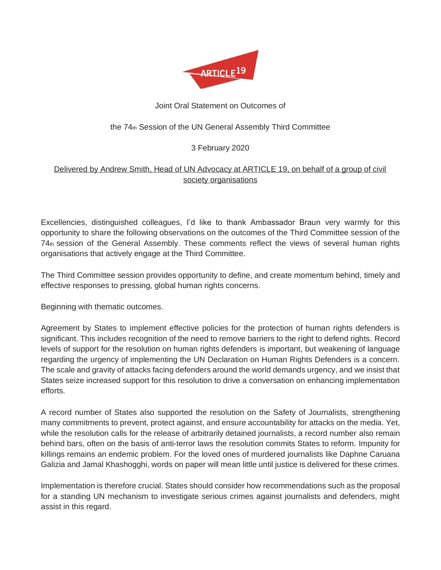

## Joint Oral Statement on Outcomes of

## the 74th Session of the UN General Assembly Third Committee

## 3 February 2020

## Delivered by Andrew Smith, Head of UN Advocacy at ARTICLE 19, on behalf of a group of civil society organisations

Excellencies, distinguished colleagues, I'd like to thank Ambassador Braun very warmly for this opportunity to share the following observations on the outcomes of the Third Committee session of the 74th session of the General Assembly. These comments reflect the views of several human rights organisations that actively engage at the Third Committee.

The Third Committee session provides opportunity to define, and create momentum behind, timely and effective responses to pressing, global human rights concerns.

Beginning with thematic outcomes.

Agreement by States to implement effective policies for the protection of human rights defenders is significant. This includes recognition of the need to remove barriers to the right to defend rights. Record levels of support for the resolution on human rights defenders is important, but weakening of language regarding the urgency of implementing the UN Declaration on Human Rights Defenders is a concern. The scale and gravity of attacks facing defenders around the world demands urgency, and we insist that States seize increased support for this resolution to drive a conversation on enhancing implementation efforts.

A record number of States also supported the resolution on the Safety of Journalists, strengthening many commitments to prevent, protect against, and ensure accountability for attacks on the media. Yet, while the resolution calls for the release of arbitrarily detained journalists, a record number also remain behind bars, often on the basis of anti-terror laws the resolution commits States to reform. Impunity for killings remains an endemic problem. For the loved ones of murdered journalists like Daphne Caruana Galizia and Jamal Khashogghi, words on paper will mean little until justice is delivered for these crimes.

Implementation is therefore crucial. States should consider how recommendations such as the proposal for a standing UN mechanism to investigate serious crimes against journalists and defenders, might assist in this regard.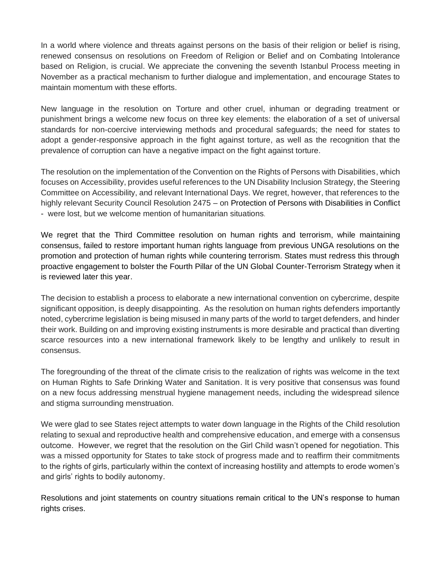In a world where violence and threats against persons on the basis of their religion or belief is rising, renewed consensus on resolutions on Freedom of Religion or Belief and on Combating Intolerance based on Religion, is crucial. We appreciate the convening the seventh Istanbul Process meeting in November as a practical mechanism to further dialogue and implementation, and encourage States to maintain momentum with these efforts.

New language in the resolution on Torture and other cruel, inhuman or degrading treatment or punishment brings a welcome new focus on three key elements: the elaboration of a set of universal standards for non-coercive interviewing methods and procedural safeguards; the need for states to adopt a gender-responsive approach in the fight against torture, as well as the recognition that the prevalence of corruption can have a negative impact on the fight against torture.

The resolution on the implementation of the Convention on the Rights of Persons with Disabilities, which focuses on Accessibility, provides useful references to the UN Disability Inclusion Strategy, the Steering Committee on Accessibility, and relevant International Days. We regret, however, that references to the highly relevant Security Council Resolution 2475 – on Protection of Persons with Disabilities in Conflict - were lost, but we welcome mention of humanitarian situations.

We regret that the Third Committee resolution on human rights and terrorism, while maintaining consensus, failed to restore important human rights language from previous UNGA resolutions on the promotion and protection of human rights while countering terrorism. States must redress this through proactive engagement to bolster the Fourth Pillar of the UN Global Counter-Terrorism Strategy when it is reviewed later this year.

The decision to establish a process to elaborate a new international convention on cybercrime, despite significant opposition, is deeply disappointing. As the resolution on human rights defenders importantly noted, cybercrime legislation is being misused in many parts of the world to target defenders, and hinder their work. Building on and improving existing instruments is more desirable and practical than diverting scarce resources into a new international framework likely to be lengthy and unlikely to result in consensus.

The foregrounding of the threat of the climate crisis to the realization of rights was welcome in the text on Human Rights to Safe Drinking Water and Sanitation. It is very positive that consensus was found on a new focus addressing menstrual hygiene management needs, including the widespread silence and stigma surrounding menstruation.

We were glad to see States reject attempts to water down language in the Rights of the Child resolution relating to sexual and reproductive health and comprehensive education, and emerge with a consensus outcome. However, we regret that the resolution on the Girl Child wasn't opened for negotiation. This was a missed opportunity for States to take stock of progress made and to reaffirm their commitments to the rights of girls, particularly within the context of increasing hostility and attempts to erode women's and girls' rights to bodily autonomy.

Resolutions and joint statements on country situations remain critical to the UN's response to human rights crises.